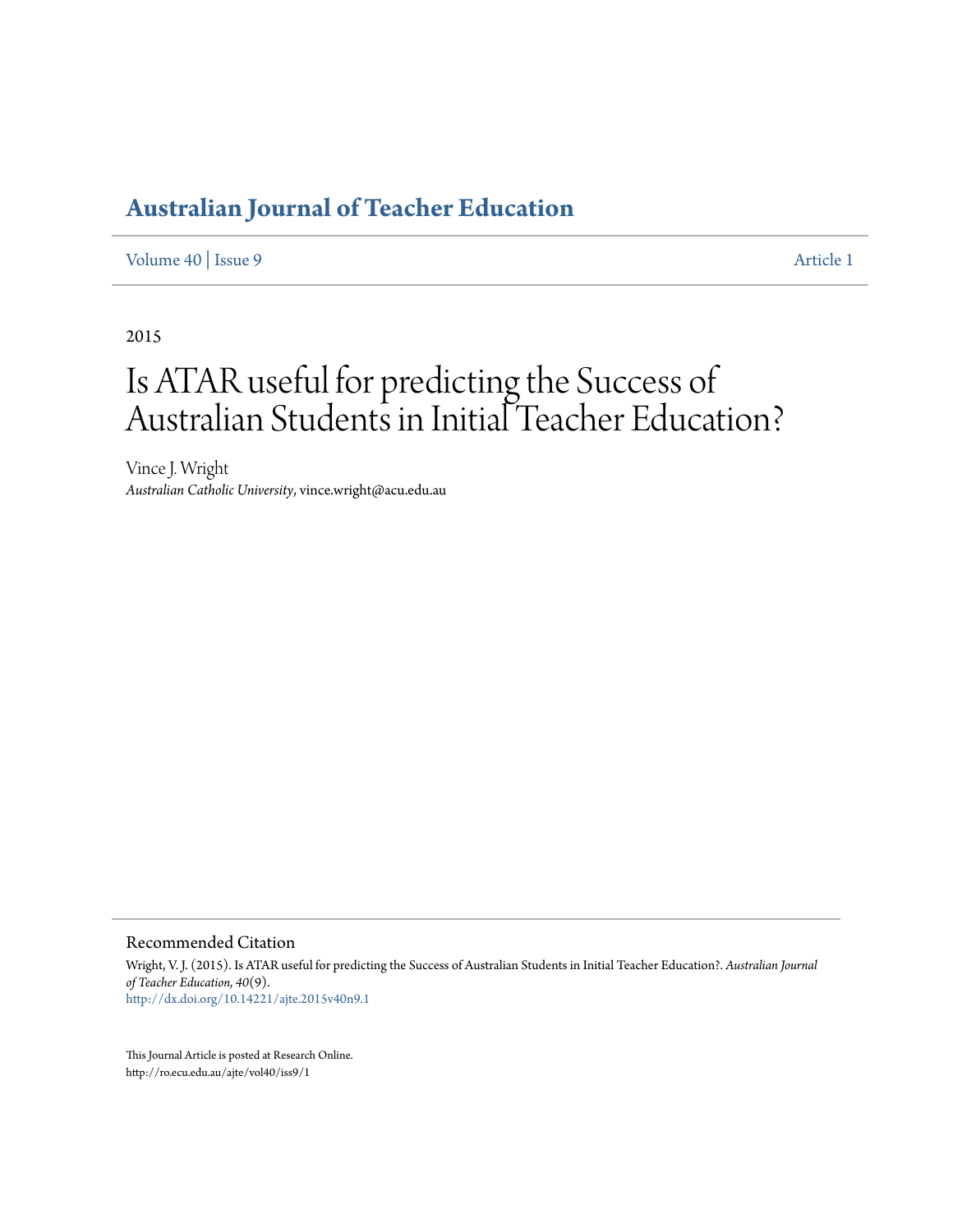# **[Australian Journal of Teacher Education](http://ro.ecu.edu.au/ajte)**

[Volume 40](http://ro.ecu.edu.au/ajte/vol40) | [Issue 9](http://ro.ecu.edu.au/ajte/vol40/iss9) [Article 1](http://ro.ecu.edu.au/ajte/vol40/iss9/1)

2015

# Is ATAR useful for predicting the Success of Australian Students in Initial Teacher Education?

Vince J. Wright *Australian Catholic University*, vince.wright@acu.edu.au

Recommended Citation

Wright, V. J. (2015). Is ATAR useful for predicting the Success of Australian Students in Initial Teacher Education?. *Australian Journal of Teacher Education, 40*(9). <http://dx.doi.org/10.14221/ajte.2015v40n9.1>

This Journal Article is posted at Research Online. http://ro.ecu.edu.au/ajte/vol40/iss9/1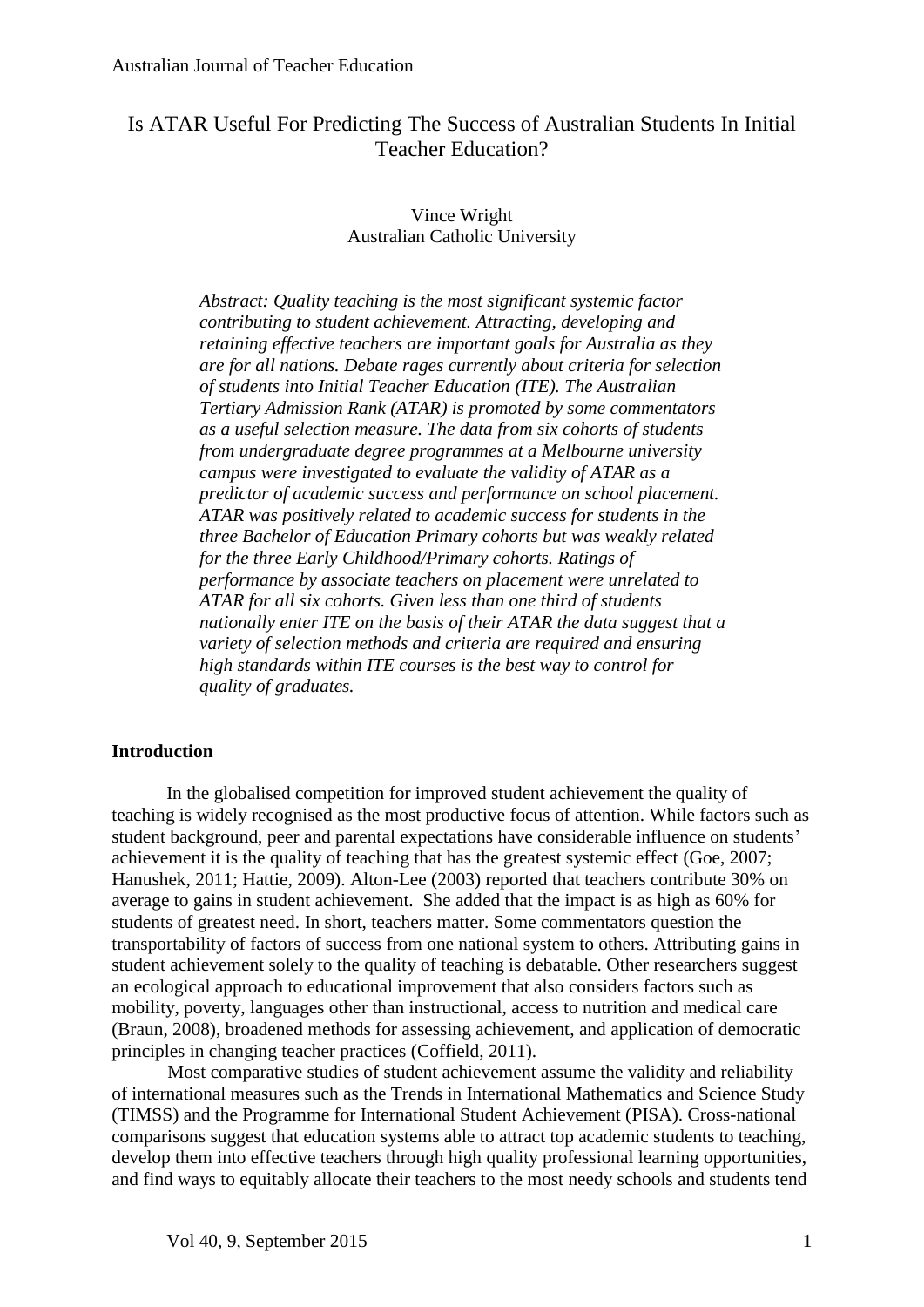# Is ATAR Useful For Predicting The Success of Australian Students In Initial Teacher Education?

## Vince Wright Australian Catholic University

*Abstract: Quality teaching is the most significant systemic factor contributing to student achievement. Attracting, developing and retaining effective teachers are important goals for Australia as they are for all nations. Debate rages currently about criteria for selection of students into Initial Teacher Education (ITE). The Australian Tertiary Admission Rank (ATAR) is promoted by some commentators as a useful selection measure. The data from six cohorts of students from undergraduate degree programmes at a Melbourne university campus were investigated to evaluate the validity of ATAR as a predictor of academic success and performance on school placement. ATAR was positively related to academic success for students in the three Bachelor of Education Primary cohorts but was weakly related for the three Early Childhood/Primary cohorts. Ratings of performance by associate teachers on placement were unrelated to ATAR for all six cohorts. Given less than one third of students nationally enter ITE on the basis of their ATAR the data suggest that a variety of selection methods and criteria are required and ensuring high standards within ITE courses is the best way to control for quality of graduates.*

#### **Introduction**

In the globalised competition for improved student achievement the quality of teaching is widely recognised as the most productive focus of attention. While factors such as student background, peer and parental expectations have considerable influence on students' achievement it is the quality of teaching that has the greatest systemic effect (Goe, 2007; Hanushek, 2011; Hattie, 2009). Alton-Lee (2003) reported that teachers contribute 30% on average to gains in student achievement. She added that the impact is as high as 60% for students of greatest need. In short, teachers matter. Some commentators question the transportability of factors of success from one national system to others. Attributing gains in student achievement solely to the quality of teaching is debatable. Other researchers suggest an ecological approach to educational improvement that also considers factors such as mobility, poverty, languages other than instructional, access to nutrition and medical care (Braun, 2008), broadened methods for assessing achievement, and application of democratic principles in changing teacher practices (Coffield, 2011).

Most comparative studies of student achievement assume the validity and reliability of international measures such as the Trends in International Mathematics and Science Study (TIMSS) and the Programme for International Student Achievement (PISA). Cross-national comparisons suggest that education systems able to attract top academic students to teaching, develop them into effective teachers through high quality professional learning opportunities, and find ways to equitably allocate their teachers to the most needy schools and students tend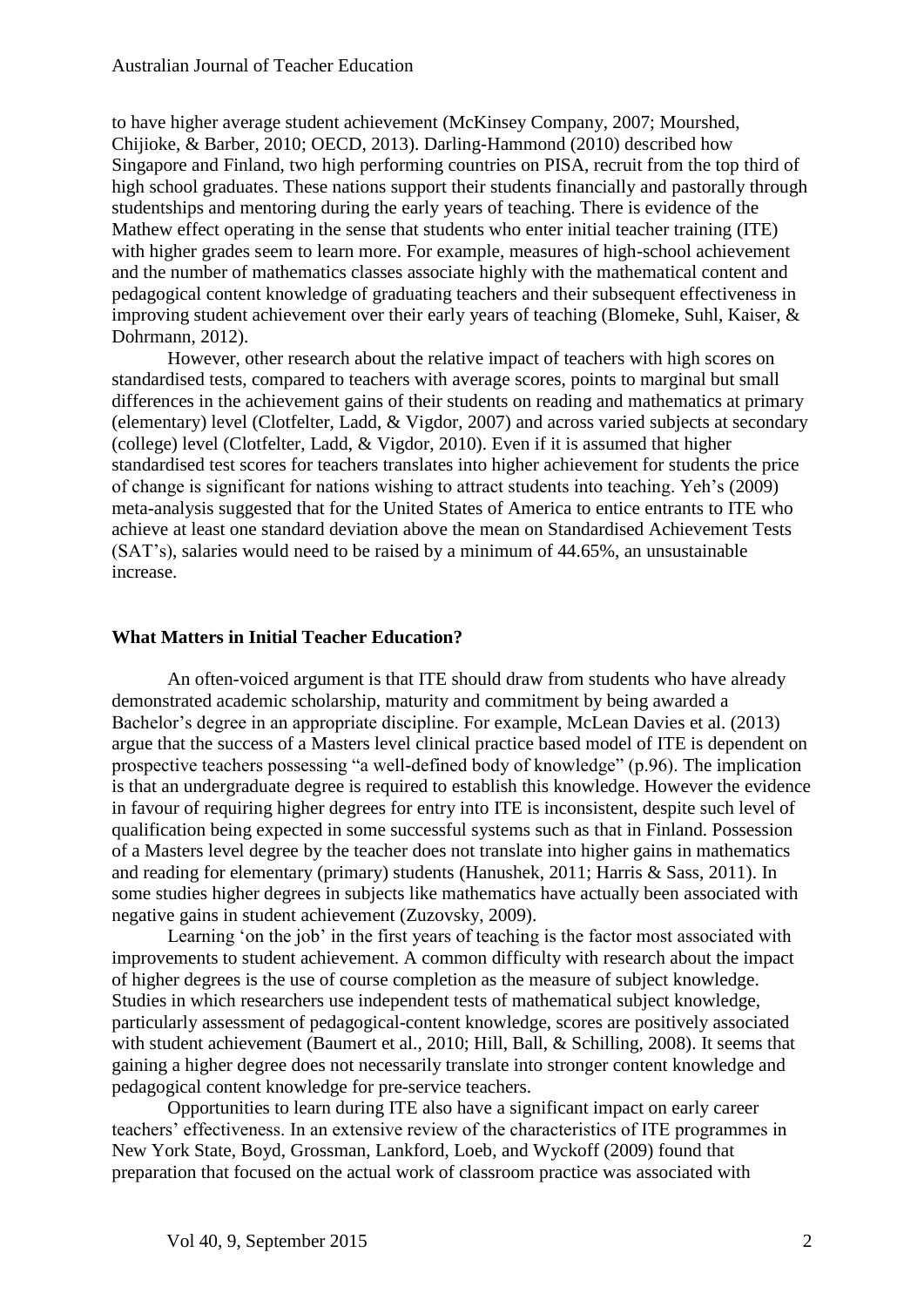to have higher average student achievement (McKinsey Company, 2007; Mourshed, Chijioke, & Barber, 2010; OECD, 2013). Darling-Hammond (2010) described how Singapore and Finland, two high performing countries on PISA, recruit from the top third of high school graduates. These nations support their students financially and pastorally through studentships and mentoring during the early years of teaching. There is evidence of the Mathew effect operating in the sense that students who enter initial teacher training (ITE) with higher grades seem to learn more. For example, measures of high-school achievement and the number of mathematics classes associate highly with the mathematical content and pedagogical content knowledge of graduating teachers and their subsequent effectiveness in improving student achievement over their early years of teaching (Blomeke, Suhl, Kaiser, & Dohrmann, 2012).

However, other research about the relative impact of teachers with high scores on standardised tests, compared to teachers with average scores, points to marginal but small differences in the achievement gains of their students on reading and mathematics at primary (elementary) level (Clotfelter, Ladd, & Vigdor, 2007) and across varied subjects at secondary (college) level (Clotfelter, Ladd, & Vigdor, 2010). Even if it is assumed that higher standardised test scores for teachers translates into higher achievement for students the price of change is significant for nations wishing to attract students into teaching. Yeh's (2009) meta-analysis suggested that for the United States of America to entice entrants to ITE who achieve at least one standard deviation above the mean on Standardised Achievement Tests (SAT's), salaries would need to be raised by a minimum of 44.65%, an unsustainable increase.

#### **What Matters in Initial Teacher Education?**

An often-voiced argument is that ITE should draw from students who have already demonstrated academic scholarship, maturity and commitment by being awarded a Bachelor's degree in an appropriate discipline. For example, McLean Davies et al. (2013) argue that the success of a Masters level clinical practice based model of ITE is dependent on prospective teachers possessing "a well-defined body of knowledge" (p.96). The implication is that an undergraduate degree is required to establish this knowledge. However the evidence in favour of requiring higher degrees for entry into ITE is inconsistent, despite such level of qualification being expected in some successful systems such as that in Finland. Possession of a Masters level degree by the teacher does not translate into higher gains in mathematics and reading for elementary (primary) students (Hanushek, 2011; Harris & Sass, 2011). In some studies higher degrees in subjects like mathematics have actually been associated with negative gains in student achievement (Zuzovsky, 2009).

Learning 'on the job' in the first years of teaching is the factor most associated with improvements to student achievement. A common difficulty with research about the impact of higher degrees is the use of course completion as the measure of subject knowledge. Studies in which researchers use independent tests of mathematical subject knowledge, particularly assessment of pedagogical-content knowledge, scores are positively associated with student achievement (Baumert et al., 2010; Hill, Ball, & Schilling, 2008). It seems that gaining a higher degree does not necessarily translate into stronger content knowledge and pedagogical content knowledge for pre-service teachers.

Opportunities to learn during ITE also have a significant impact on early career teachers' effectiveness. In an extensive review of the characteristics of ITE programmes in New York State, Boyd, Grossman, Lankford, Loeb, and Wyckoff (2009) found that preparation that focused on the actual work of classroom practice was associated with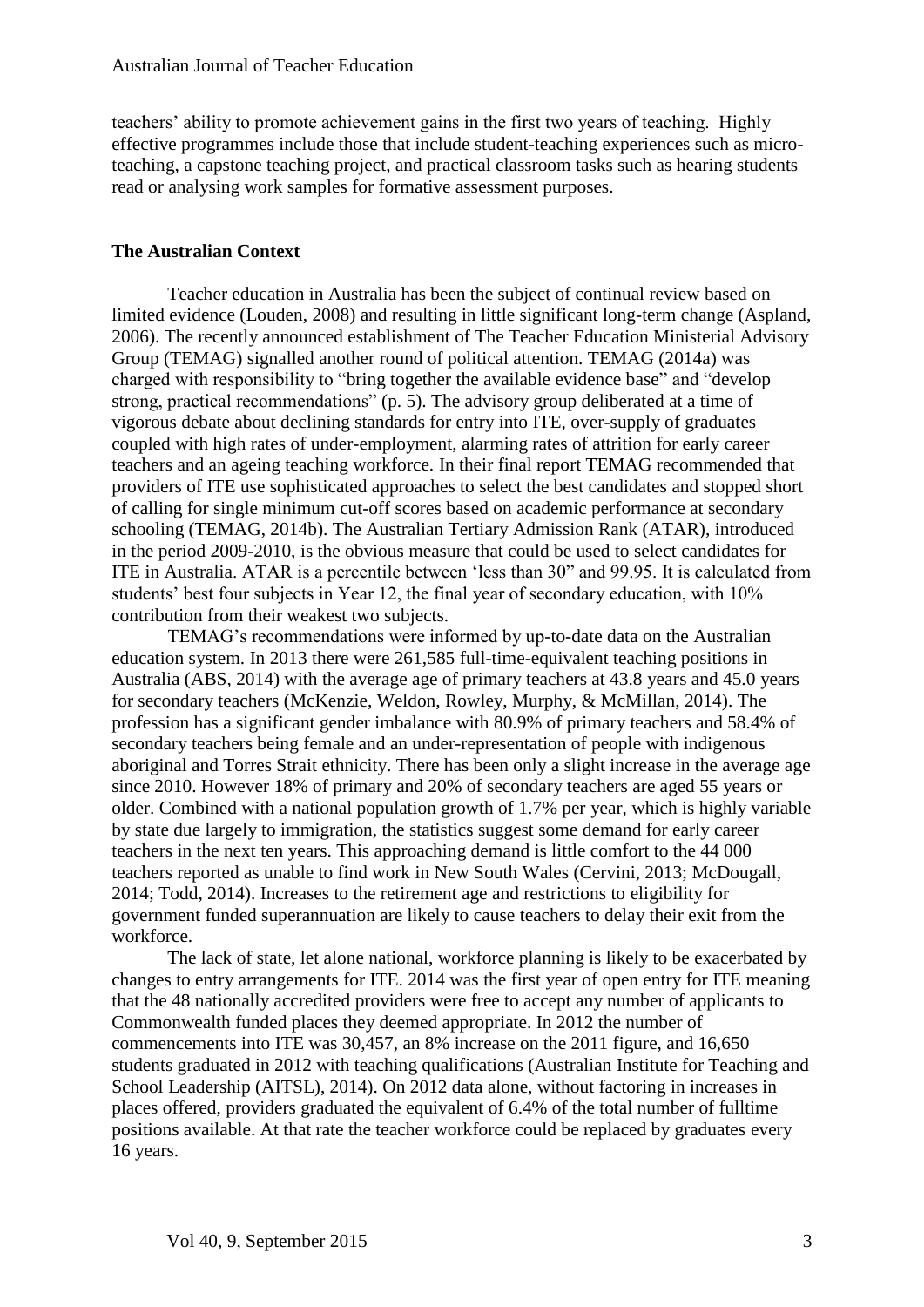teachers' ability to promote achievement gains in the first two years of teaching. Highly effective programmes include those that include student-teaching experiences such as microteaching, a capstone teaching project, and practical classroom tasks such as hearing students read or analysing work samples for formative assessment purposes.

#### **The Australian Context**

Teacher education in Australia has been the subject of continual review based on limited evidence (Louden, 2008) and resulting in little significant long-term change (Aspland, 2006). The recently announced establishment of The Teacher Education Ministerial Advisory Group (TEMAG) signalled another round of political attention. TEMAG (2014a) was charged with responsibility to "bring together the available evidence base" and "develop strong, practical recommendations" (p. 5). The advisory group deliberated at a time of vigorous debate about declining standards for entry into ITE, over-supply of graduates coupled with high rates of under-employment, alarming rates of attrition for early career teachers and an ageing teaching workforce. In their final report TEMAG recommended that providers of ITE use sophisticated approaches to select the best candidates and stopped short of calling for single minimum cut-off scores based on academic performance at secondary schooling (TEMAG, 2014b). The Australian Tertiary Admission Rank (ATAR), introduced in the period 2009-2010, is the obvious measure that could be used to select candidates for ITE in Australia. ATAR is a percentile between 'less than 30" and 99.95. It is calculated from students' best four subjects in Year 12, the final year of secondary education, with 10% contribution from their weakest two subjects.

TEMAG's recommendations were informed by up-to-date data on the Australian education system. In 2013 there were 261,585 full-time-equivalent teaching positions in Australia (ABS, 2014) with the average age of primary teachers at 43.8 years and 45.0 years for secondary teachers (McKenzie, Weldon, Rowley, Murphy, & McMillan, 2014). The profession has a significant gender imbalance with 80.9% of primary teachers and 58.4% of secondary teachers being female and an under-representation of people with indigenous aboriginal and Torres Strait ethnicity. There has been only a slight increase in the average age since 2010. However 18% of primary and 20% of secondary teachers are aged 55 years or older. Combined with a national population growth of 1.7% per year, which is highly variable by state due largely to immigration, the statistics suggest some demand for early career teachers in the next ten years. This approaching demand is little comfort to the 44 000 teachers reported as unable to find work in New South Wales (Cervini, 2013; McDougall, 2014; Todd, 2014). Increases to the retirement age and restrictions to eligibility for government funded superannuation are likely to cause teachers to delay their exit from the workforce.

The lack of state, let alone national, workforce planning is likely to be exacerbated by changes to entry arrangements for ITE. 2014 was the first year of open entry for ITE meaning that the 48 nationally accredited providers were free to accept any number of applicants to Commonwealth funded places they deemed appropriate. In 2012 the number of commencements into ITE was 30,457, an 8% increase on the 2011 figure, and 16,650 students graduated in 2012 with teaching qualifications (Australian Institute for Teaching and School Leadership (AITSL), 2014). On 2012 data alone, without factoring in increases in places offered, providers graduated the equivalent of 6.4% of the total number of fulltime positions available. At that rate the teacher workforce could be replaced by graduates every 16 years.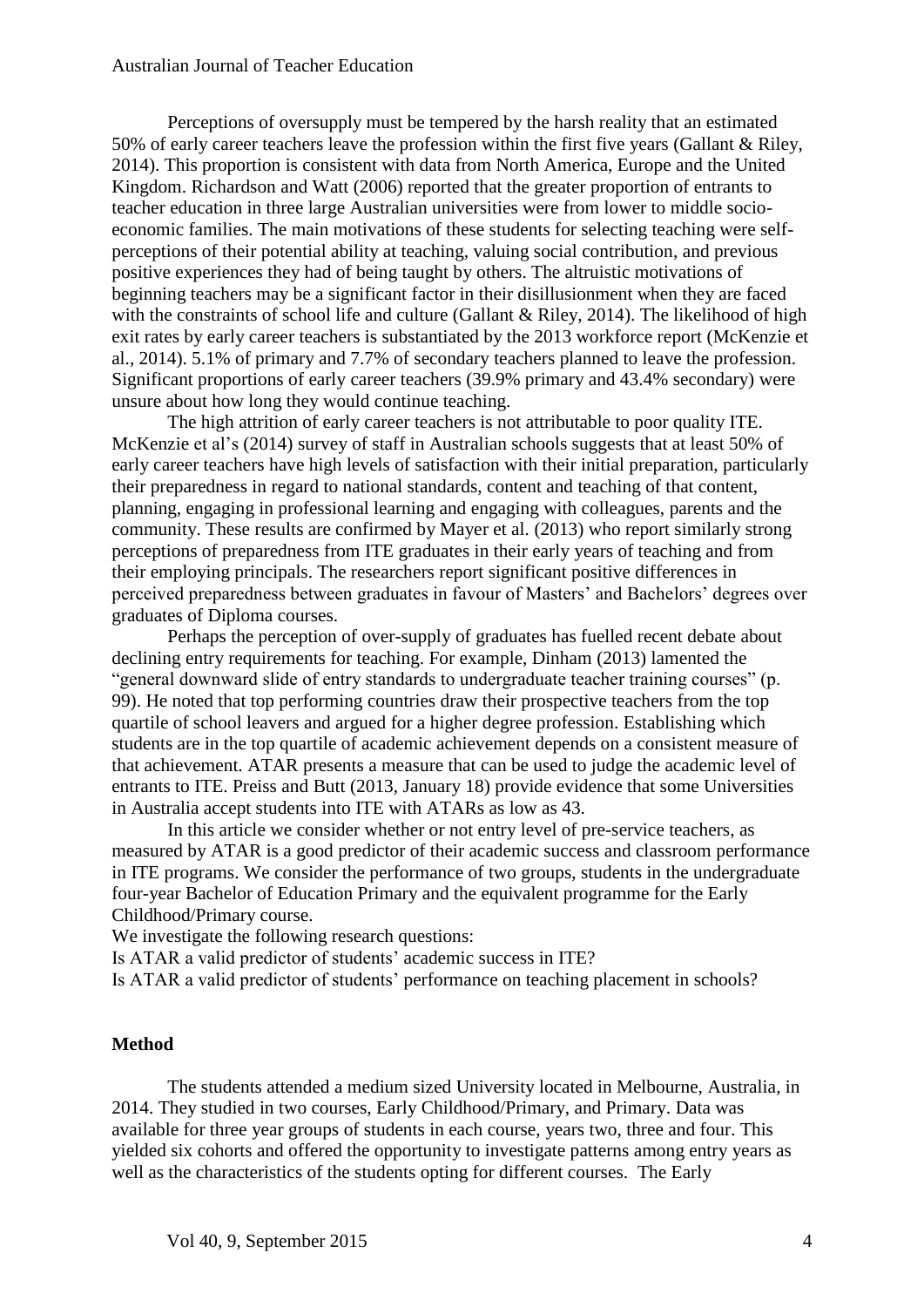#### Australian Journal of Teacher Education

Perceptions of oversupply must be tempered by the harsh reality that an estimated 50% of early career teachers leave the profession within the first five years (Gallant & Riley, 2014). This proportion is consistent with data from North America, Europe and the United Kingdom. Richardson and Watt (2006) reported that the greater proportion of entrants to teacher education in three large Australian universities were from lower to middle socioeconomic families. The main motivations of these students for selecting teaching were selfperceptions of their potential ability at teaching, valuing social contribution, and previous positive experiences they had of being taught by others. The altruistic motivations of beginning teachers may be a significant factor in their disillusionment when they are faced with the constraints of school life and culture (Gallant & Riley, 2014). The likelihood of high exit rates by early career teachers is substantiated by the 2013 workforce report (McKenzie et al., 2014). 5.1% of primary and 7.7% of secondary teachers planned to leave the profession. Significant proportions of early career teachers (39.9% primary and 43.4% secondary) were unsure about how long they would continue teaching.

The high attrition of early career teachers is not attributable to poor quality ITE. McKenzie et al's (2014) survey of staff in Australian schools suggests that at least 50% of early career teachers have high levels of satisfaction with their initial preparation, particularly their preparedness in regard to national standards, content and teaching of that content, planning, engaging in professional learning and engaging with colleagues, parents and the community. These results are confirmed by Mayer et al. (2013) who report similarly strong perceptions of preparedness from ITE graduates in their early years of teaching and from their employing principals. The researchers report significant positive differences in perceived preparedness between graduates in favour of Masters' and Bachelors' degrees over graduates of Diploma courses.

Perhaps the perception of over-supply of graduates has fuelled recent debate about declining entry requirements for teaching. For example, Dinham (2013) lamented the "general downward slide of entry standards to undergraduate teacher training courses" (p. 99). He noted that top performing countries draw their prospective teachers from the top quartile of school leavers and argued for a higher degree profession. Establishing which students are in the top quartile of academic achievement depends on a consistent measure of that achievement. ATAR presents a measure that can be used to judge the academic level of entrants to ITE. Preiss and Butt (2013, January 18) provide evidence that some Universities in Australia accept students into ITE with ATARs as low as 43.

In this article we consider whether or not entry level of pre-service teachers, as measured by ATAR is a good predictor of their academic success and classroom performance in ITE programs. We consider the performance of two groups, students in the undergraduate four-year Bachelor of Education Primary and the equivalent programme for the Early Childhood/Primary course.

We investigate the following research questions:

Is ATAR a valid predictor of students' academic success in ITE?

Is ATAR a valid predictor of students' performance on teaching placement in schools?

#### **Method**

The students attended a medium sized University located in Melbourne, Australia, in 2014. They studied in two courses, Early Childhood/Primary, and Primary. Data was available for three year groups of students in each course, years two, three and four. This yielded six cohorts and offered the opportunity to investigate patterns among entry years as well as the characteristics of the students opting for different courses. The Early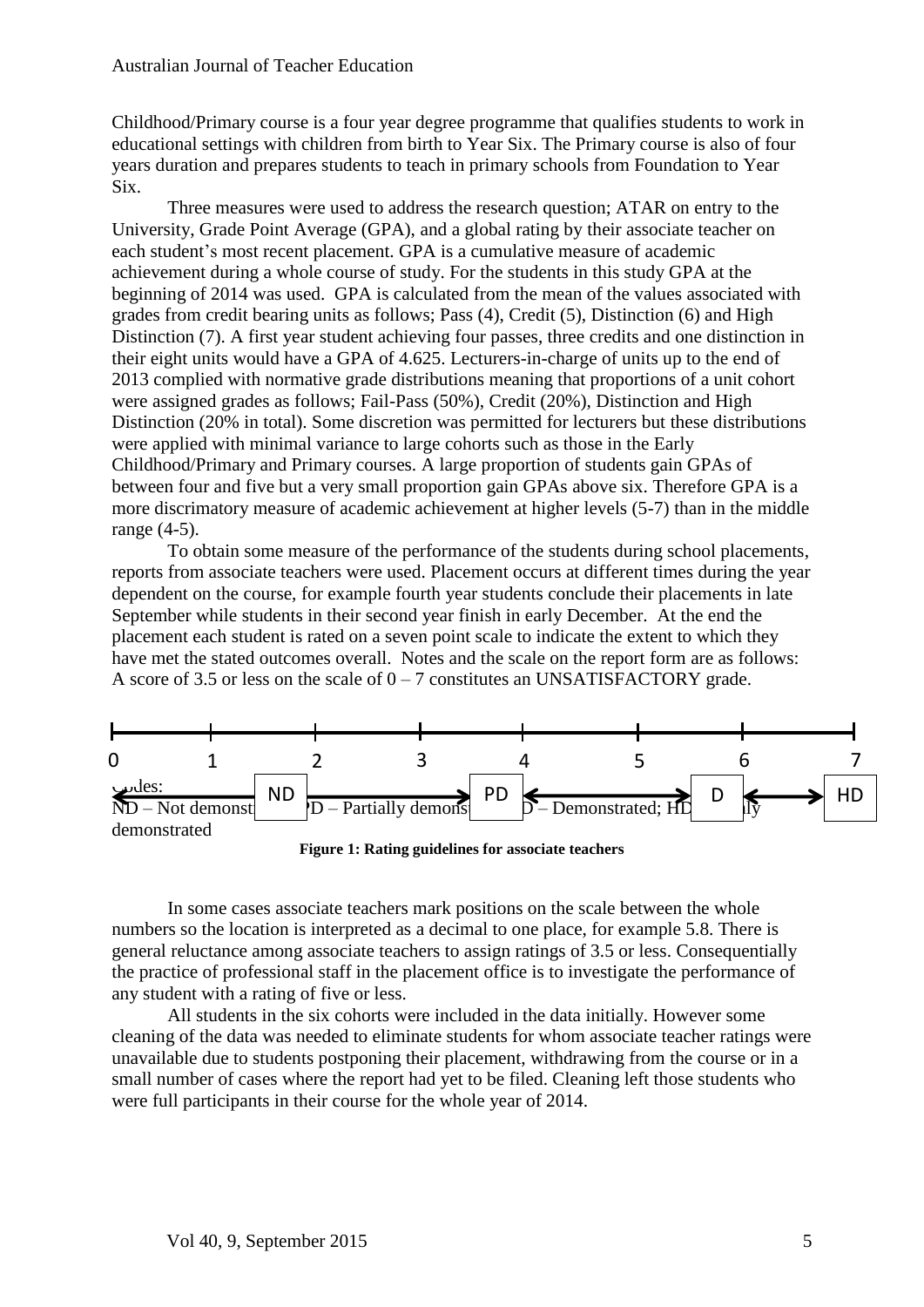Childhood/Primary course is a four year degree programme that qualifies students to work in educational settings with children from birth to Year Six. The Primary course is also of four years duration and prepares students to teach in primary schools from Foundation to Year Six.

Three measures were used to address the research question; ATAR on entry to the University, Grade Point Average (GPA), and a global rating by their associate teacher on each student's most recent placement. GPA is a cumulative measure of academic achievement during a whole course of study. For the students in this study GPA at the beginning of 2014 was used. GPA is calculated from the mean of the values associated with grades from credit bearing units as follows; Pass (4), Credit (5), Distinction (6) and High Distinction (7). A first year student achieving four passes, three credits and one distinction in their eight units would have a GPA of 4.625. Lecturers-in-charge of units up to the end of 2013 complied with normative grade distributions meaning that proportions of a unit cohort were assigned grades as follows; Fail-Pass (50%), Credit (20%), Distinction and High Distinction (20% in total). Some discretion was permitted for lecturers but these distributions were applied with minimal variance to large cohorts such as those in the Early Childhood/Primary and Primary courses. A large proportion of students gain GPAs of between four and five but a very small proportion gain GPAs above six. Therefore GPA is a more discrimatory measure of academic achievement at higher levels (5-7) than in the middle range (4-5).

To obtain some measure of the performance of the students during school placements, reports from associate teachers were used. Placement occurs at different times during the year dependent on the course, for example fourth year students conclude their placements in late September while students in their second year finish in early December. At the end the placement each student is rated on a seven point scale to indicate the extent to which they have met the stated outcomes overall. Notes and the scale on the report form are as follows: A score of 3.5 or less on the scale of  $0 - 7$  constitutes an UNSATISFACTORY grade.



**Figure 1: Rating guidelines for associate teachers**

In some cases associate teachers mark positions on the scale between the whole numbers so the location is interpreted as a decimal to one place, for example 5.8. There is general reluctance among associate teachers to assign ratings of 3.5 or less. Consequentially the practice of professional staff in the placement office is to investigate the performance of any student with a rating of five or less.

All students in the six cohorts were included in the data initially. However some cleaning of the data was needed to eliminate students for whom associate teacher ratings were unavailable due to students postponing their placement, withdrawing from the course or in a small number of cases where the report had yet to be filed. Cleaning left those students who were full participants in their course for the whole year of 2014.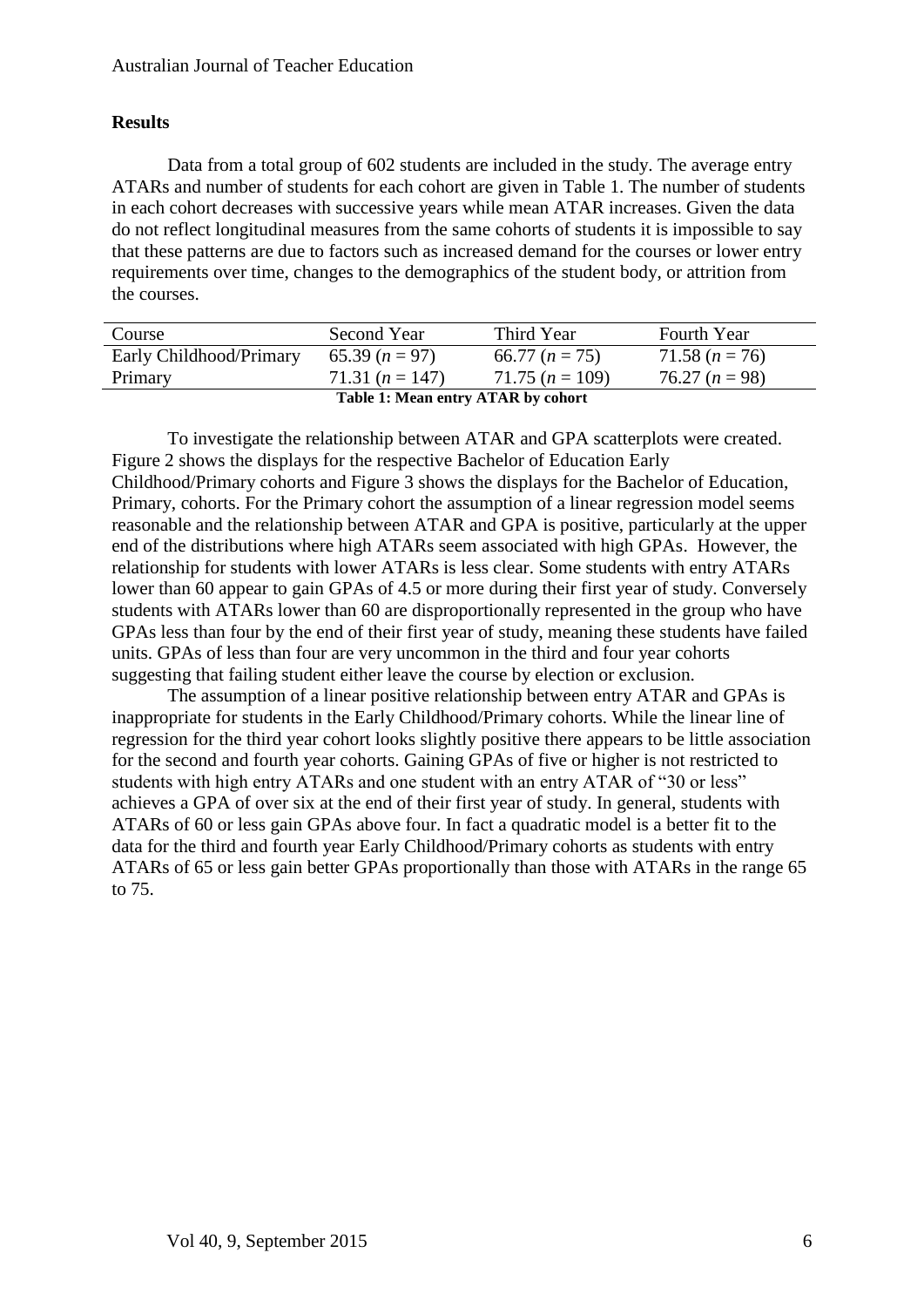## **Results**

Data from a total group of 602 students are included in the study. The average entry ATARs and number of students for each cohort are given in Table 1. The number of students in each cohort decreases with successive years while mean ATAR increases. Given the data do not reflect longitudinal measures from the same cohorts of students it is impossible to say that these patterns are due to factors such as increased demand for the courses or lower entry requirements over time, changes to the demographics of the student body, or attrition from the courses.

| Course                             | Second Year       | Third Year        | <b>Fourth Year</b> |  |
|------------------------------------|-------------------|-------------------|--------------------|--|
| Early Childhood/Primary            | $65.39 (n=97)$    | 66.77 $(n = 75)$  | $71.58 (n = 76)$   |  |
| Primary                            | $71.31 (n = 147)$ | $71.75 (n = 109)$ | $76.27 (n = 98)$   |  |
| Table 1: Mean entry ATAR by cohort |                   |                   |                    |  |

To investigate the relationship between ATAR and GPA scatterplots were created. Figure 2 shows the displays for the respective Bachelor of Education Early Childhood/Primary cohorts and Figure 3 shows the displays for the Bachelor of Education, Primary, cohorts. For the Primary cohort the assumption of a linear regression model seems reasonable and the relationship between ATAR and GPA is positive, particularly at the upper end of the distributions where high ATARs seem associated with high GPAs. However, the relationship for students with lower ATARs is less clear. Some students with entry ATARs lower than 60 appear to gain GPAs of 4.5 or more during their first year of study. Conversely students with ATARs lower than 60 are disproportionally represented in the group who have GPAs less than four by the end of their first year of study, meaning these students have failed units. GPAs of less than four are very uncommon in the third and four year cohorts suggesting that failing student either leave the course by election or exclusion.

The assumption of a linear positive relationship between entry ATAR and GPAs is inappropriate for students in the Early Childhood/Primary cohorts. While the linear line of regression for the third year cohort looks slightly positive there appears to be little association for the second and fourth year cohorts. Gaining GPAs of five or higher is not restricted to students with high entry ATARs and one student with an entry ATAR of "30 or less" achieves a GPA of over six at the end of their first year of study. In general, students with ATARs of 60 or less gain GPAs above four. In fact a quadratic model is a better fit to the data for the third and fourth year Early Childhood/Primary cohorts as students with entry ATARs of 65 or less gain better GPAs proportionally than those with ATARs in the range 65 to 75.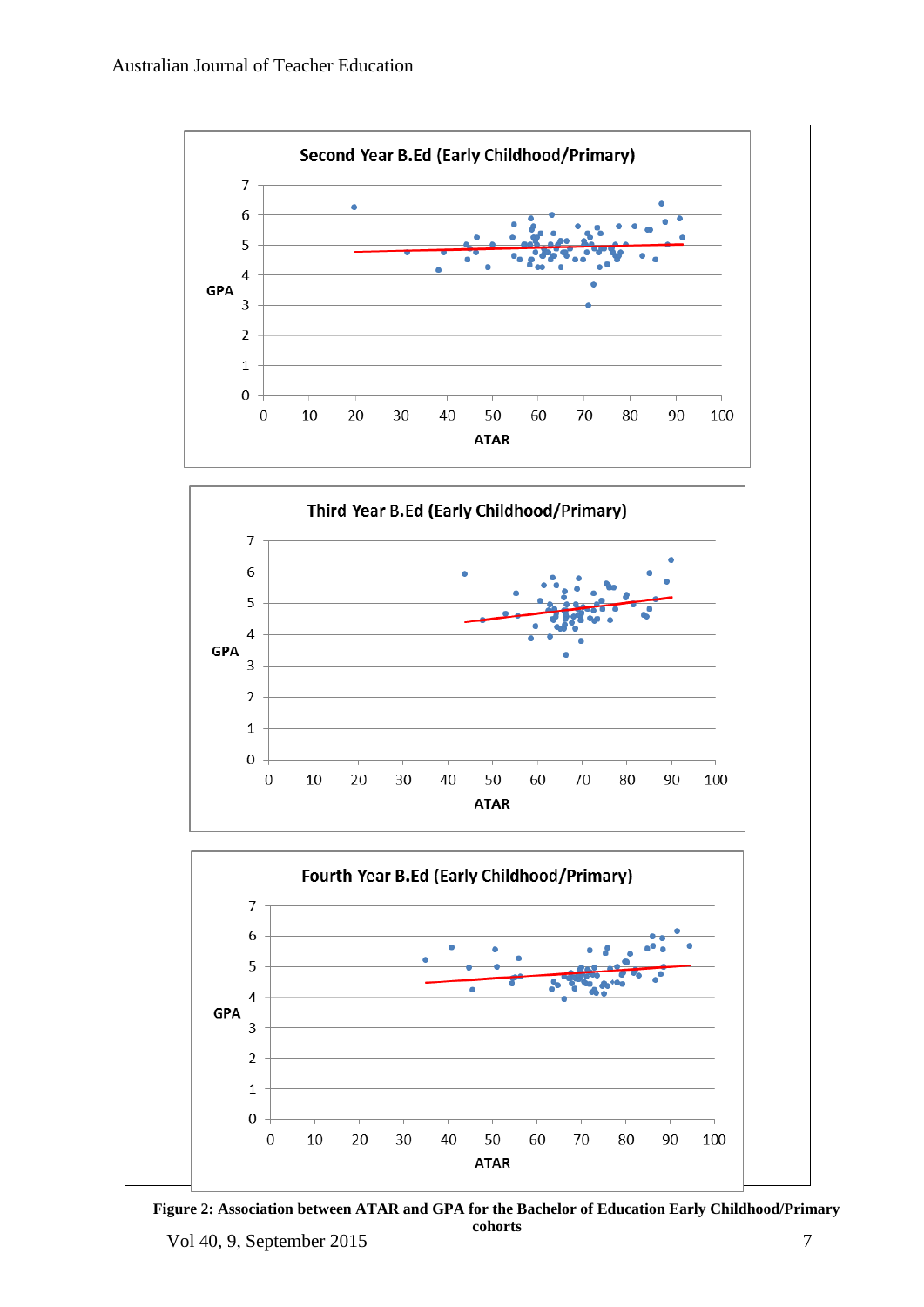

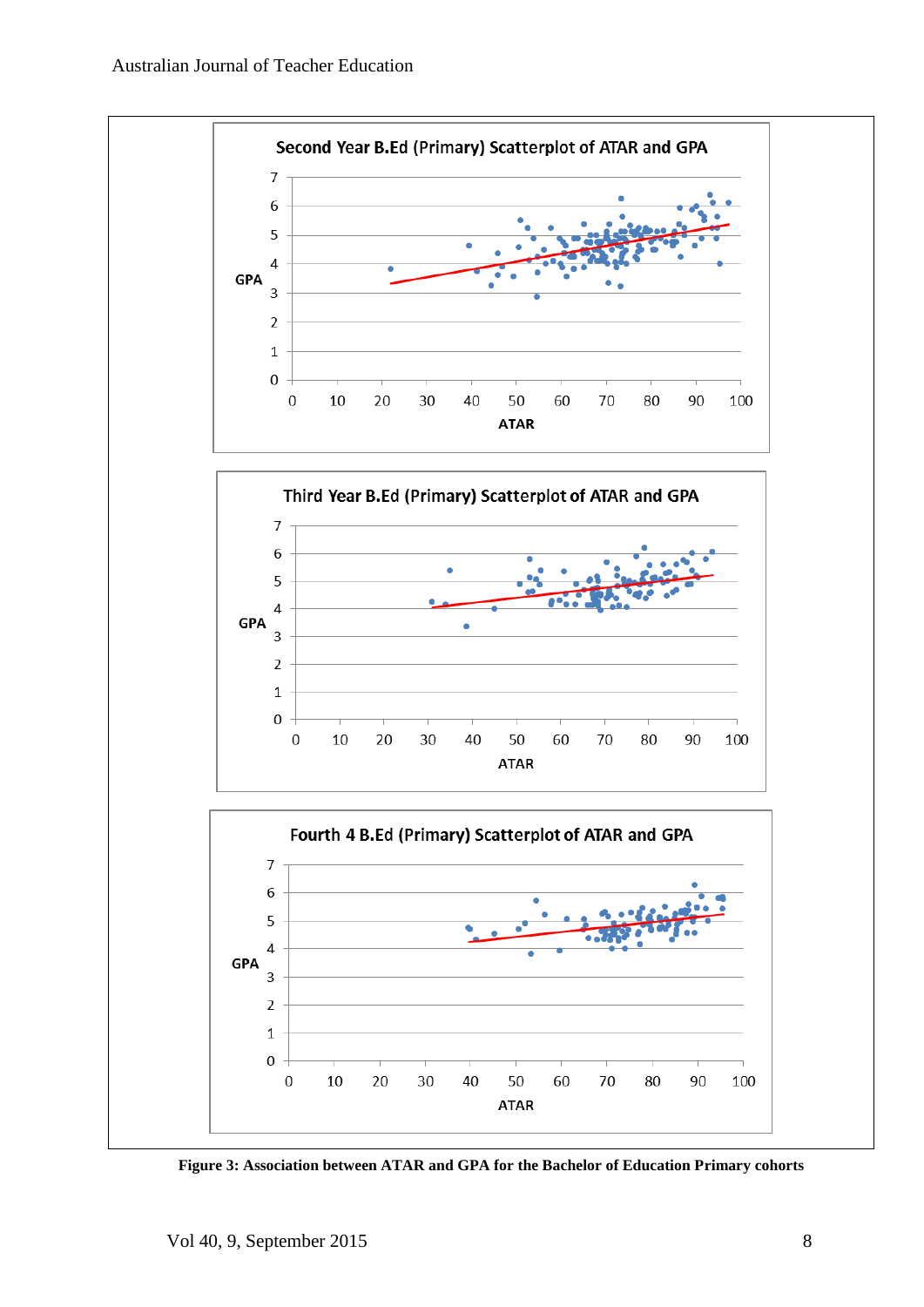

**Figure 3: Association between ATAR and GPA for the Bachelor of Education Primary cohorts**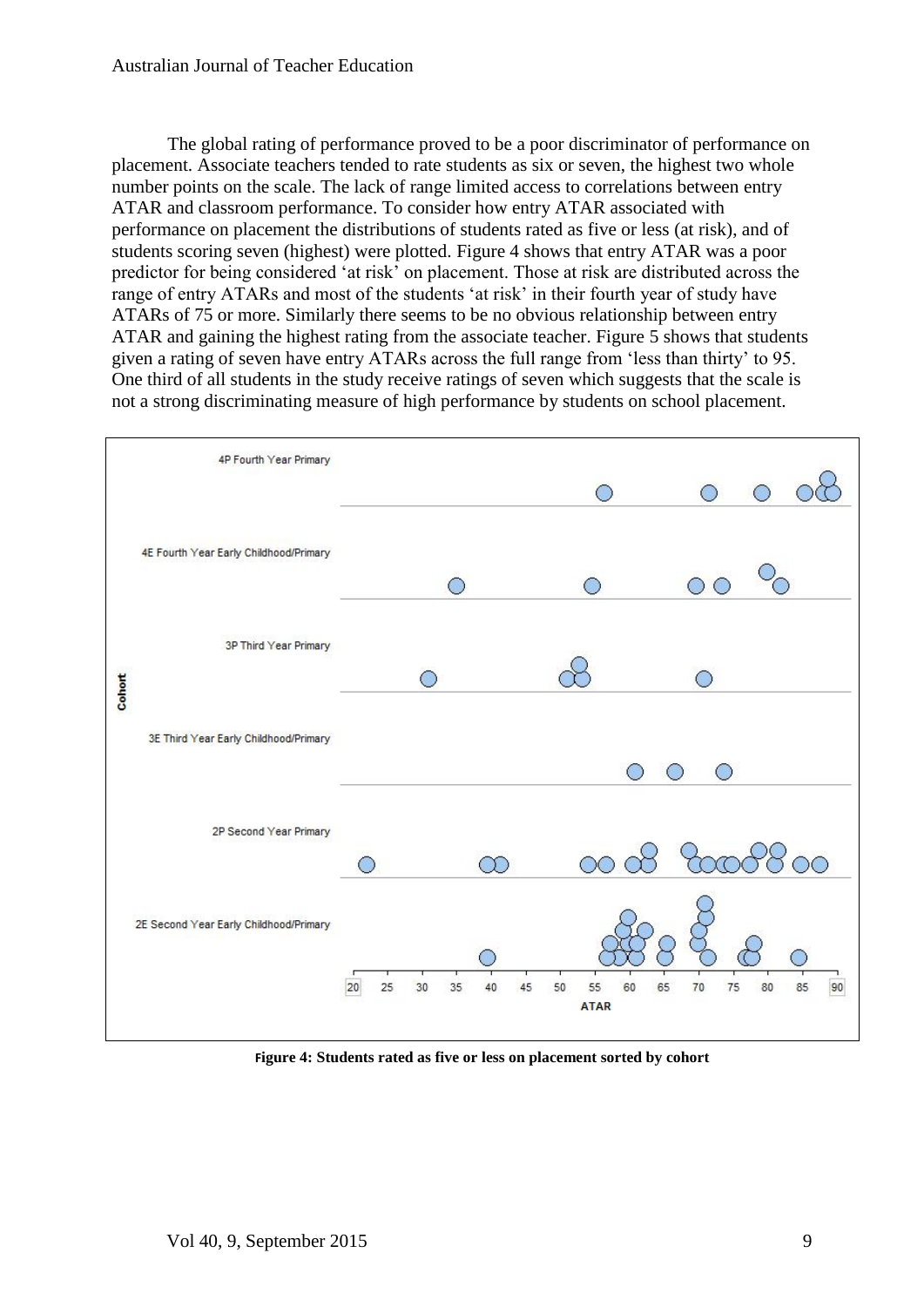The global rating of performance proved to be a poor discriminator of performance on placement. Associate teachers tended to rate students as six or seven, the highest two whole number points on the scale. The lack of range limited access to correlations between entry ATAR and classroom performance. To consider how entry ATAR associated with performance on placement the distributions of students rated as five or less (at risk), and of students scoring seven (highest) were plotted. Figure 4 shows that entry ATAR was a poor predictor for being considered 'at risk' on placement. Those at risk are distributed across the range of entry ATARs and most of the students 'at risk' in their fourth year of study have ATARs of 75 or more. Similarly there seems to be no obvious relationship between entry ATAR and gaining the highest rating from the associate teacher. Figure 5 shows that students given a rating of seven have entry ATARs across the full range from 'less than thirty' to 95. One third of all students in the study receive ratings of seven which suggests that the scale is not a strong discriminating measure of high performance by students on school placement.



**Figure 4: Students rated as five or less on placement sorted by cohort**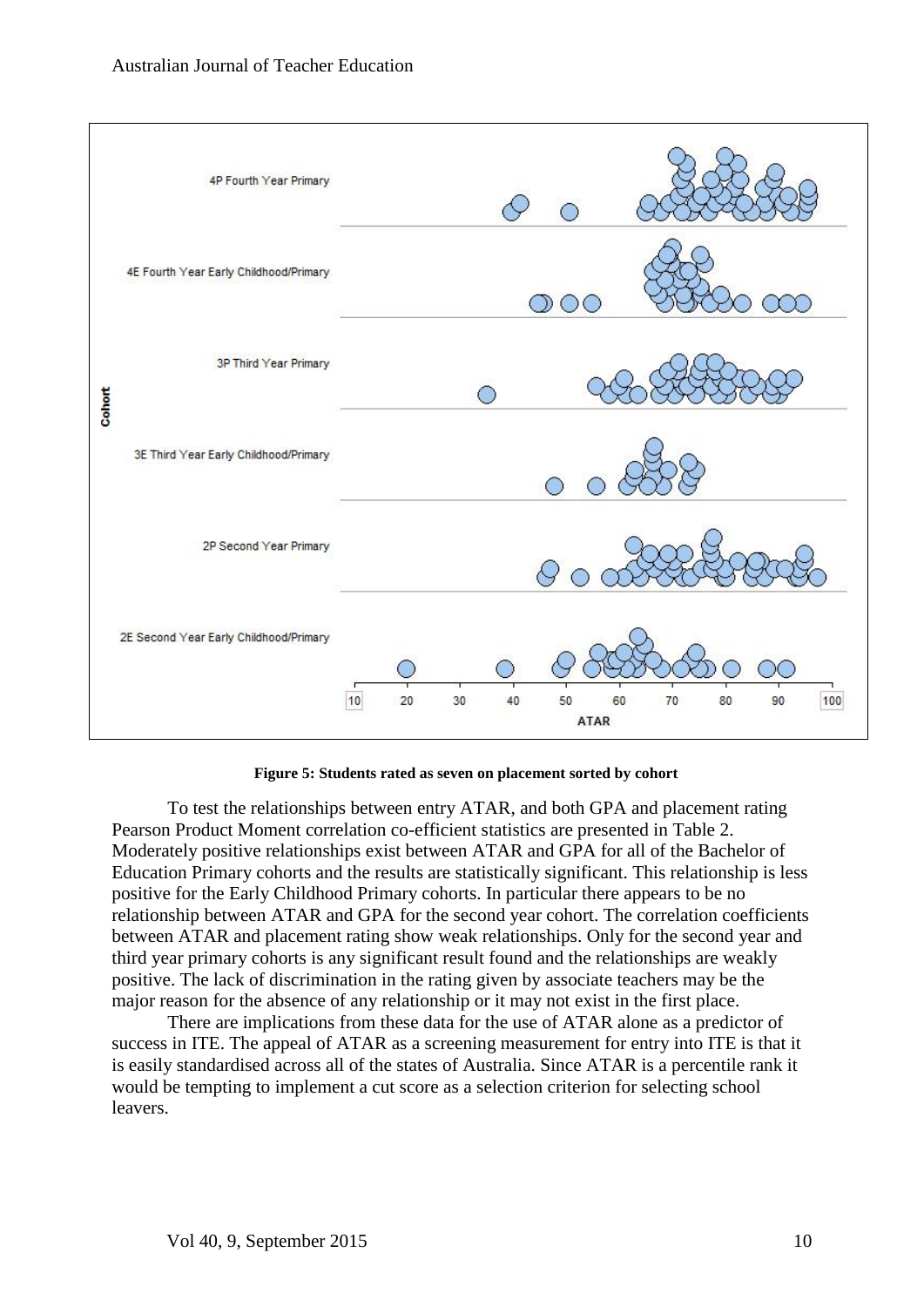

**Figure 5: Students rated as seven on placement sorted by cohort**

To test the relationships between entry ATAR, and both GPA and placement rating Pearson Product Moment correlation co-efficient statistics are presented in Table 2. Moderately positive relationships exist between ATAR and GPA for all of the Bachelor of Education Primary cohorts and the results are statistically significant. This relationship is less positive for the Early Childhood Primary cohorts. In particular there appears to be no relationship between ATAR and GPA for the second year cohort. The correlation coefficients between ATAR and placement rating show weak relationships. Only for the second year and third year primary cohorts is any significant result found and the relationships are weakly positive. The lack of discrimination in the rating given by associate teachers may be the major reason for the absence of any relationship or it may not exist in the first place.

There are implications from these data for the use of ATAR alone as a predictor of success in ITE. The appeal of ATAR as a screening measurement for entry into ITE is that it is easily standardised across all of the states of Australia. Since ATAR is a percentile rank it would be tempting to implement a cut score as a selection criterion for selecting school leavers.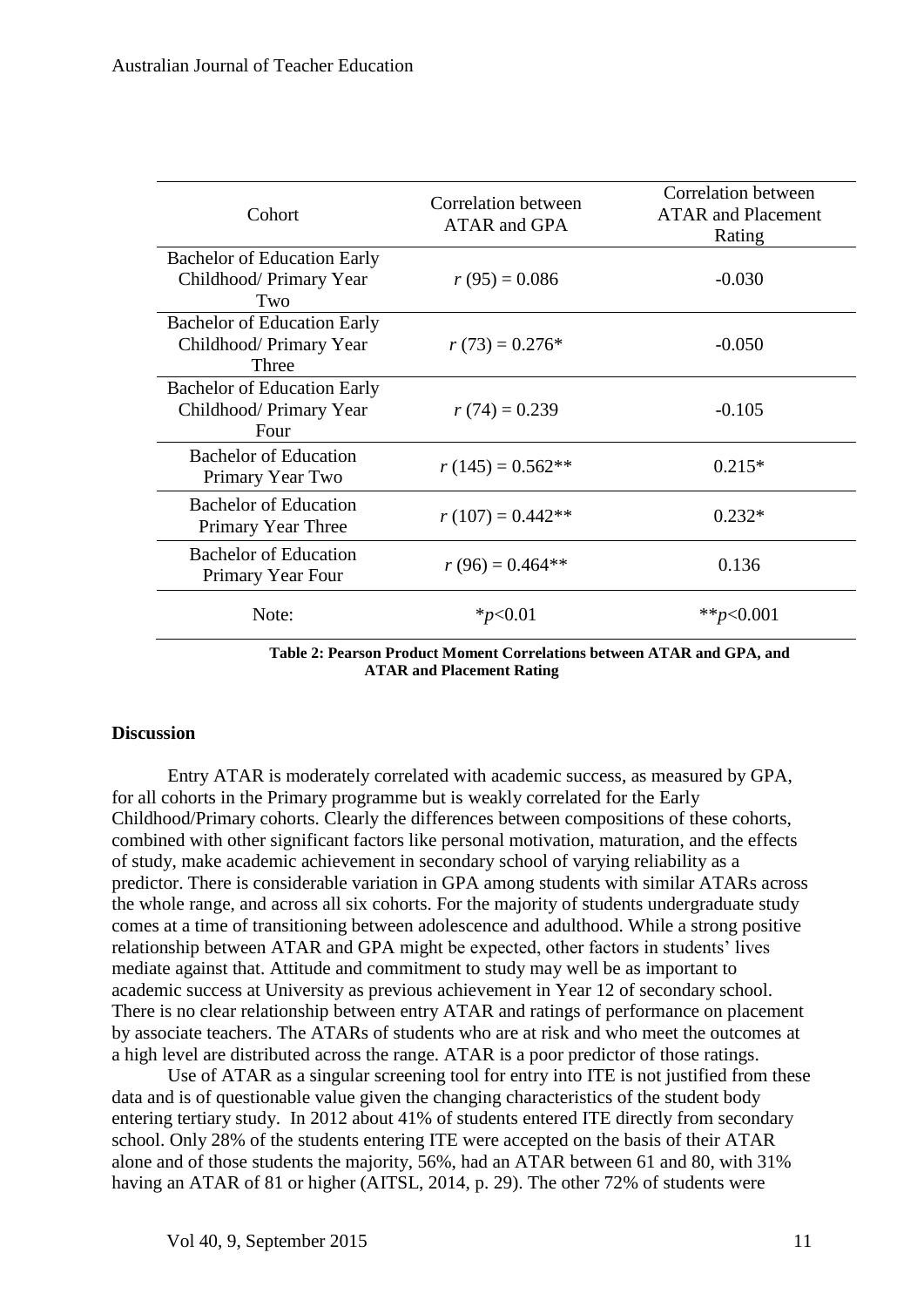| Cohort                                                                 | Correlation between<br><b>ATAR and GPA</b> | Correlation between<br><b>ATAR</b> and Placement<br>Rating |
|------------------------------------------------------------------------|--------------------------------------------|------------------------------------------------------------|
| <b>Bachelor of Education Early</b><br>Childhood/ Primary Year<br>Two   | $r(95) = 0.086$                            | $-0.030$                                                   |
| <b>Bachelor of Education Early</b><br>Childhood/ Primary Year<br>Three | $r(73) = 0.276*$                           | $-0.050$                                                   |
| <b>Bachelor of Education Early</b><br>Childhood/Primary Year<br>Four   | $r(74) = 0.239$                            | $-0.105$                                                   |
| <b>Bachelor of Education</b><br>Primary Year Two                       | $r(145) = 0.562**$                         | $0.215*$                                                   |
| <b>Bachelor of Education</b><br>Primary Year Three                     | $r(107) = 0.442**$                         | $0.232*$                                                   |
| <b>Bachelor of Education</b><br>Primary Year Four                      | $r(96) = 0.464**$                          | 0.136                                                      |
| Note:                                                                  | $*_{p<0.01}$                               | ** $p<0.001$                                               |

 **Table 2: Pearson Product Moment Correlations between ATAR and GPA, and ATAR and Placement Rating**

#### **Discussion**

Entry ATAR is moderately correlated with academic success, as measured by GPA, for all cohorts in the Primary programme but is weakly correlated for the Early Childhood/Primary cohorts. Clearly the differences between compositions of these cohorts, combined with other significant factors like personal motivation, maturation, and the effects of study, make academic achievement in secondary school of varying reliability as a predictor. There is considerable variation in GPA among students with similar ATARs across the whole range, and across all six cohorts. For the majority of students undergraduate study comes at a time of transitioning between adolescence and adulthood. While a strong positive relationship between ATAR and GPA might be expected, other factors in students' lives mediate against that. Attitude and commitment to study may well be as important to academic success at University as previous achievement in Year 12 of secondary school. There is no clear relationship between entry ATAR and ratings of performance on placement by associate teachers. The ATARs of students who are at risk and who meet the outcomes at a high level are distributed across the range. ATAR is a poor predictor of those ratings.

Use of ATAR as a singular screening tool for entry into ITE is not justified from these data and is of questionable value given the changing characteristics of the student body entering tertiary study. In 2012 about 41% of students entered ITE directly from secondary school. Only 28% of the students entering ITE were accepted on the basis of their ATAR alone and of those students the majority, 56%, had an ATAR between 61 and 80, with 31% having an ATAR of 81 or higher (AITSL, 2014, p. 29). The other 72% of students were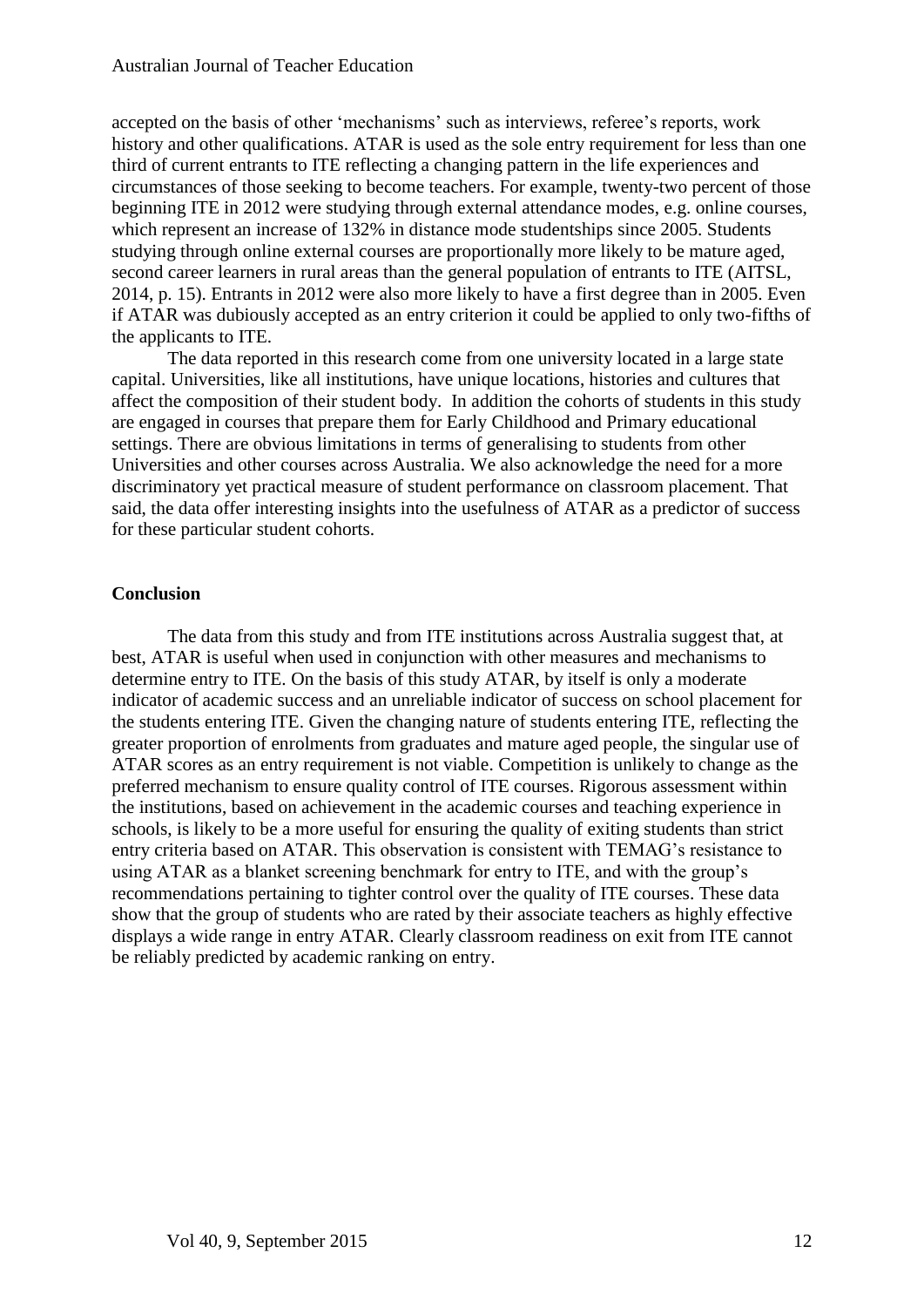accepted on the basis of other 'mechanisms' such as interviews, referee's reports, work history and other qualifications. ATAR is used as the sole entry requirement for less than one third of current entrants to ITE reflecting a changing pattern in the life experiences and circumstances of those seeking to become teachers. For example, twenty-two percent of those beginning ITE in 2012 were studying through external attendance modes, e.g. online courses, which represent an increase of 132% in distance mode studentships since 2005. Students studying through online external courses are proportionally more likely to be mature aged, second career learners in rural areas than the general population of entrants to ITE (AITSL, 2014, p. 15). Entrants in 2012 were also more likely to have a first degree than in 2005. Even if ATAR was dubiously accepted as an entry criterion it could be applied to only two-fifths of the applicants to ITE.

The data reported in this research come from one university located in a large state capital. Universities, like all institutions, have unique locations, histories and cultures that affect the composition of their student body. In addition the cohorts of students in this study are engaged in courses that prepare them for Early Childhood and Primary educational settings. There are obvious limitations in terms of generalising to students from other Universities and other courses across Australia. We also acknowledge the need for a more discriminatory yet practical measure of student performance on classroom placement. That said, the data offer interesting insights into the usefulness of ATAR as a predictor of success for these particular student cohorts.

#### **Conclusion**

The data from this study and from ITE institutions across Australia suggest that, at best, ATAR is useful when used in conjunction with other measures and mechanisms to determine entry to ITE. On the basis of this study ATAR, by itself is only a moderate indicator of academic success and an unreliable indicator of success on school placement for the students entering ITE. Given the changing nature of students entering ITE, reflecting the greater proportion of enrolments from graduates and mature aged people, the singular use of ATAR scores as an entry requirement is not viable. Competition is unlikely to change as the preferred mechanism to ensure quality control of ITE courses. Rigorous assessment within the institutions, based on achievement in the academic courses and teaching experience in schools, is likely to be a more useful for ensuring the quality of exiting students than strict entry criteria based on ATAR. This observation is consistent with TEMAG's resistance to using ATAR as a blanket screening benchmark for entry to ITE, and with the group's recommendations pertaining to tighter control over the quality of ITE courses. These data show that the group of students who are rated by their associate teachers as highly effective displays a wide range in entry ATAR. Clearly classroom readiness on exit from ITE cannot be reliably predicted by academic ranking on entry.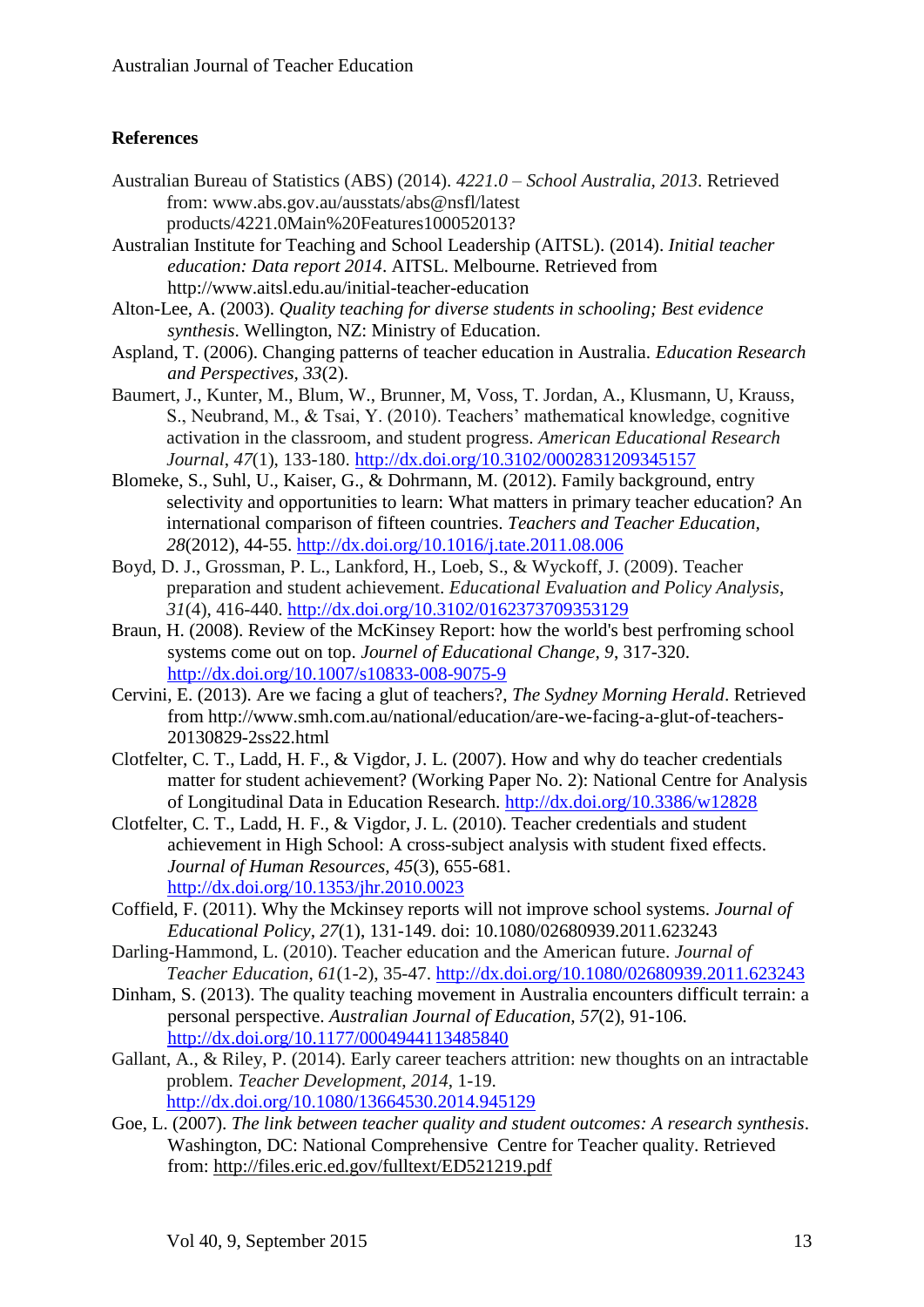# **References**

- Australian Bureau of Statistics (ABS) (2014). *4221.0 – School Australia, 2013*. Retrieved from: www.abs.gov.au/ausstats/abs@nsfl/latest products/4221.0Main%20Features100052013?
- Australian Institute for Teaching and School Leadership (AITSL). (2014). *Initial teacher education: Data report 2014*. AITSL. Melbourne. Retrieved from http://www.aitsl.edu.au/initial-teacher-education
- Alton-Lee, A. (2003). *Quality teaching for diverse students in schooling; Best evidence synthesis*. Wellington, NZ: Ministry of Education.
- Aspland, T. (2006). Changing patterns of teacher education in Australia. *Education Research and Perspectives, 33*(2).
- Baumert, J., Kunter, M., Blum, W., Brunner, M, Voss, T. Jordan, A., Klusmann, U, Krauss, S., Neubrand, M., & Tsai, Y. (2010). Teachers' mathematical knowledge, cognitive activation in the classroom, and student progress. *American Educational Research Journal*, *47*(1), 133-180.<http://dx.doi.org/10.3102/0002831209345157>
- Blomeke, S., Suhl, U., Kaiser, G., & Dohrmann, M. (2012). Family background, entry selectivity and opportunities to learn: What matters in primary teacher education? An international comparison of fifteen countries. *Teachers and Teacher Education, 28*(2012), 44-55.<http://dx.doi.org/10.1016/j.tate.2011.08.006>
- Boyd, D. J., Grossman, P. L., Lankford, H., Loeb, S., & Wyckoff, J. (2009). Teacher preparation and student achievement. *Educational Evaluation and Policy Analysis*, *31*(4), 416-440.<http://dx.doi.org/10.3102/0162373709353129>
- Braun, H. (2008). Review of the McKinsey Report: how the world's best perfroming school systems come out on top. *Journel of Educational Change, 9*, 317-320. <http://dx.doi.org/10.1007/s10833-008-9075-9>
- Cervini, E. (2013). Are we facing a glut of teachers?, *The Sydney Morning Herald*. Retrieved from http://www.smh.com.au/national/education/are-we-facing-a-glut-of-teachers-20130829-2ss22.html
- Clotfelter, C. T., Ladd, H. F., & Vigdor, J. L. (2007). How and why do teacher credentials matter for student achievement? (Working Paper No. 2): National Centre for Analysis of Longitudinal Data in Education Research. <http://dx.doi.org/10.3386/w12828>
- Clotfelter, C. T., Ladd, H. F., & Vigdor, J. L. (2010). Teacher credentials and student achievement in High School: A cross-subject analysis with student fixed effects. *Journal of Human Resources, 45*(3), 655-681. <http://dx.doi.org/10.1353/jhr.2010.0023>
- Coffield, F. (2011). Why the Mckinsey reports will not improve school systems. *Journal of Educational Policy, 27*(1), 131-149. doi: 10.1080/02680939.2011.623243
- Darling-Hammond, L. (2010). Teacher education and the American future. *Journal of Teacher Education*, *61*(1-2), 35-47.<http://dx.doi.org/10.1080/02680939.2011.623243>
- Dinham, S. (2013). The quality teaching movement in Australia encounters difficult terrain: a personal perspective. *Australian Journal of Education, 57*(2), 91-106. <http://dx.doi.org/10.1177/0004944113485840>
- Gallant, A., & Riley, P. (2014). Early career teachers attrition: new thoughts on an intractable problem. *Teacher Development*, *2014*, 1-19. <http://dx.doi.org/10.1080/13664530.2014.945129>
- Goe, L. (2007). *The link between teacher quality and student outcomes: A research synthesis*. Washington, DC: National Comprehensive Centre for Teacher quality. Retrieved from: http://files.eric.ed.gov/fulltext/ED521219.pdf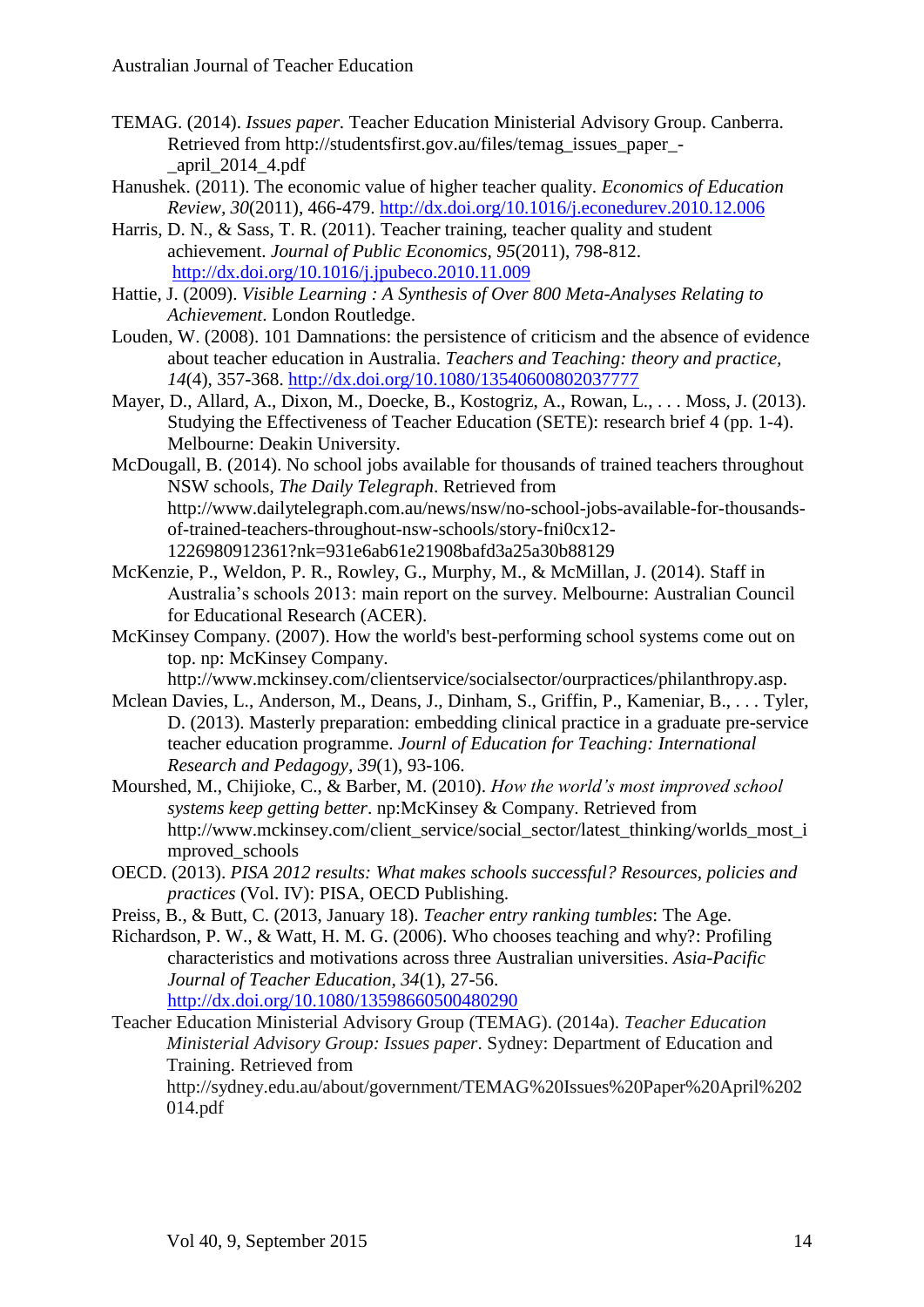- TEMAG. (2014). *Issues paper.* Teacher Education Ministerial Advisory Group. Canberra. Retrieved from http://studentsfirst.gov.au/files/temag\_issues\_paper\_- \_april\_2014\_4.pdf
- Hanushek. (2011). The economic value of higher teacher quality. *Economics of Education Review, 30*(2011), 466-479.<http://dx.doi.org/10.1016/j.econedurev.2010.12.006>
- Harris, D. N., & Sass, T. R. (2011). Teacher training, teacher quality and student achievement. *Journal of Public Economics, 95*(2011), 798-812. <http://dx.doi.org/10.1016/j.jpubeco.2010.11.009>
- Hattie, J. (2009). *Visible Learning : A Synthesis of Over 800 Meta-Analyses Relating to Achievement*. London Routledge.
- Louden, W. (2008). 101 Damnations: the persistence of criticism and the absence of evidence about teacher education in Australia. *Teachers and Teaching: theory and practice, 14*(4), 357-368.<http://dx.doi.org/10.1080/13540600802037777>
- Mayer, D., Allard, A., Dixon, M., Doecke, B., Kostogriz, A., Rowan, L., . . . Moss, J. (2013). Studying the Effectiveness of Teacher Education (SETE): research brief 4 (pp. 1-4). Melbourne: Deakin University.
- McDougall, B. (2014). No school jobs available for thousands of trained teachers throughout NSW schools, *The Daily Telegraph*. Retrieved from http://www.dailytelegraph.com.au/news/nsw/no-school-jobs-available-for-thousandsof-trained-teachers-throughout-nsw-schools/story-fni0cx12- 1226980912361?nk=931e6ab61e21908bafd3a25a30b88129
- McKenzie, P., Weldon, P. R., Rowley, G., Murphy, M., & McMillan, J. (2014). Staff in Australia's schools 2013: main report on the survey. Melbourne: Australian Council for Educational Research (ACER).
- McKinsey Company. (2007). How the world's best-performing school systems come out on top. np: McKinsey Company.

http://www.mckinsey.com/clientservice/socialsector/ourpractices/philanthropy.asp.

- Mclean Davies, L., Anderson, M., Deans, J., Dinham, S., Griffin, P., Kameniar, B., . . . Tyler, D. (2013). Masterly preparation: embedding clinical practice in a graduate pre-service teacher education programme. *Journl of Education for Teaching: International Research and Pedagogy, 39*(1), 93-106.
- Mourshed, M., Chijioke, C., & Barber, M. (2010). *How the world's most improved school systems keep getting better*. np:McKinsey & Company. Retrieved from http://www.mckinsey.com/client\_service/social\_sector/latest\_thinking/worlds\_most\_i mproved\_schools
- OECD. (2013). *PISA 2012 results: What makes schools successful? Resources, policies and practices* (Vol. IV): PISA, OECD Publishing.
- Preiss, B., & Butt, C. (2013, January 18). *Teacher entry ranking tumbles*: The Age.

Richardson, P. W., & Watt, H. M. G. (2006). Who chooses teaching and why?: Profiling characteristics and motivations across three Australian universities. *Asia-Pacific Journal of Teacher Education, 34*(1), 27-56. <http://dx.doi.org/10.1080/13598660500480290>

Teacher Education Ministerial Advisory Group (TEMAG). (2014a). *Teacher Education Ministerial Advisory Group: Issues paper*. Sydney: Department of Education and Training. Retrieved from

http://sydney.edu.au/about/government/TEMAG%20Issues%20Paper%20April%202 014.pdf